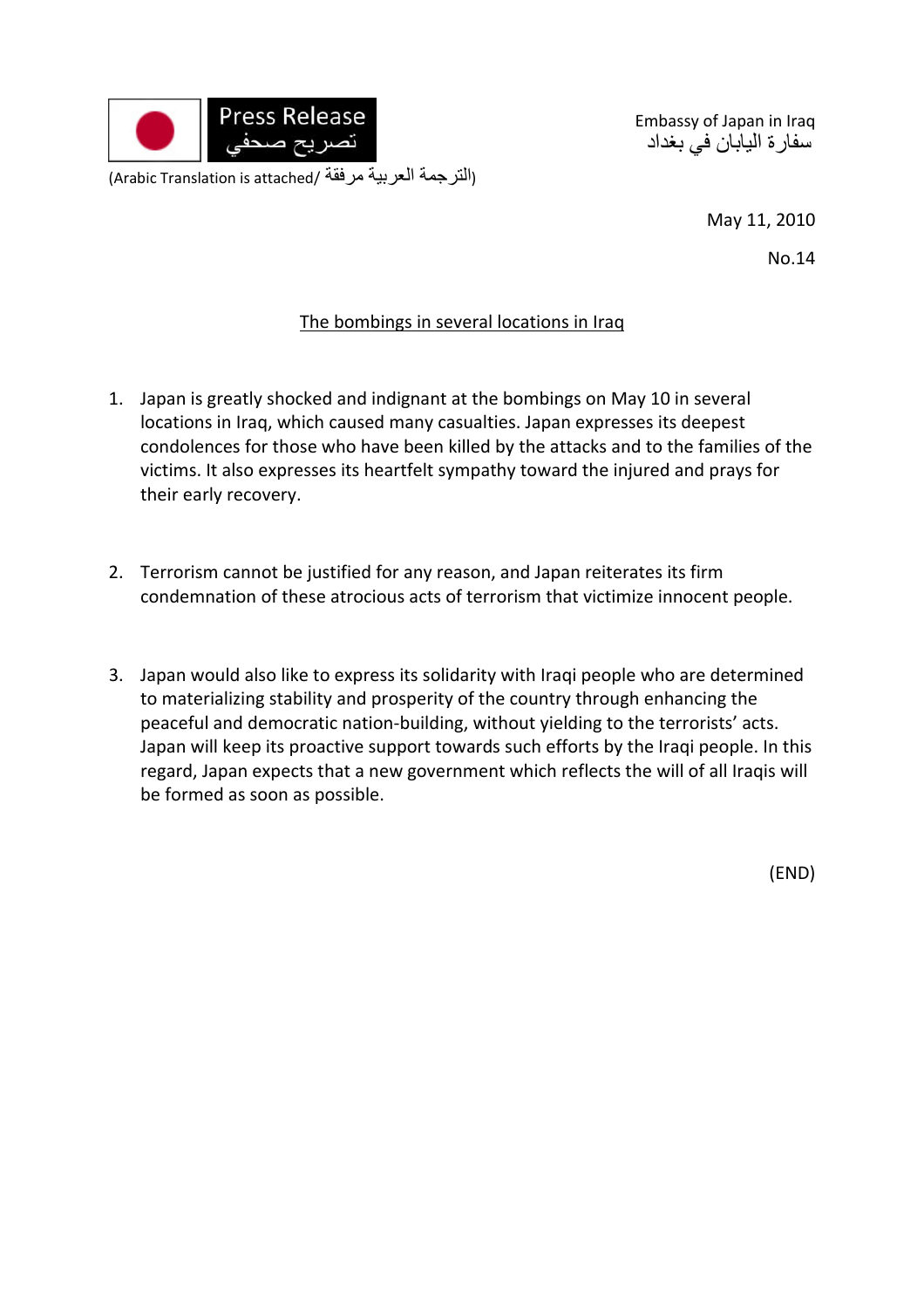

Embassy of Japan in Iraq سفارة اليابان في بغداد

May 11, 2010

No.14

## The bombings in several locations in Iraq

- 1. Japan is greatly shocked and indignant at the bombings on May 10 in several locations in Iraq, which caused many casualties. Japan expresses its deepest condolences for those who have been killed by the attacks and to the families of the victims. It also expresses its heartfelt sympathy toward the injured and prays for their early recovery.
- 2. Terrorism cannot be justified for any reason, and Japan reiterates its firm condemnation of these atrocious acts of terrorism that victimize innocent people.
- 3. Japan would also like to express its solidarity with Iraqi people who are determined to materializing stability and prosperity of the country through enhancing the peaceful and democratic nation‐building, without yielding to the terrorists' acts. Japan will keep its proactive support towards such efforts by the Iraqi people. In this regard, Japan expects that a new government which reflects the will of all Iraqis will be formed as soon as possible.

(END)